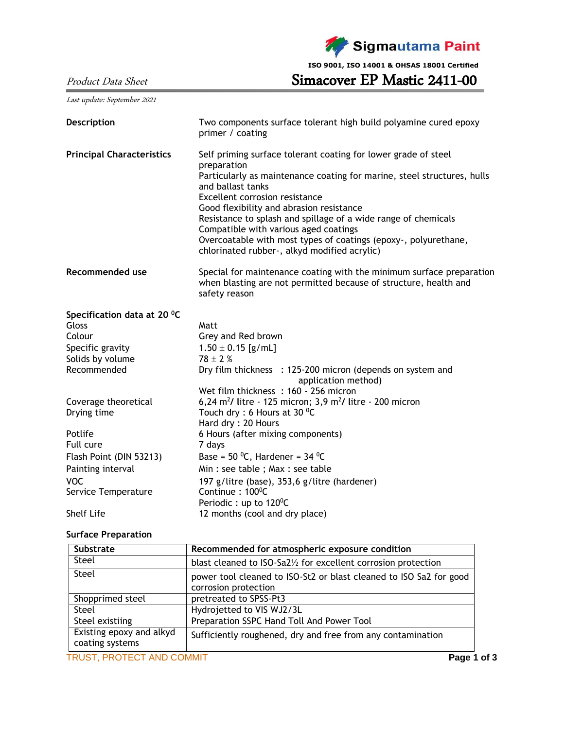Sigmautama Paint

**ISO 9001, ISO 14001 & OHSAS 18001 Certified**

Product Data Sheet Simacover EP Mastic 2411-00

Last update: September 2021

| Description                      | Two components surface tolerant high build polyamine cured epoxy<br>primer / coating                                                                                                                                                                                                                                                                                                                                                                                                      |  |
|----------------------------------|-------------------------------------------------------------------------------------------------------------------------------------------------------------------------------------------------------------------------------------------------------------------------------------------------------------------------------------------------------------------------------------------------------------------------------------------------------------------------------------------|--|
| <b>Principal Characteristics</b> | Self priming surface tolerant coating for lower grade of steel<br>preparation<br>Particularly as maintenance coating for marine, steel structures, hulls<br>and ballast tanks<br>Excellent corrosion resistance<br>Good flexibility and abrasion resistance<br>Resistance to splash and spillage of a wide range of chemicals<br>Compatible with various aged coatings<br>Overcoatable with most types of coatings (epoxy-, polyurethane,<br>chlorinated rubber-, alkyd modified acrylic) |  |
| Recommended use                  | Special for maintenance coating with the minimum surface preparation<br>when blasting are not permitted because of structure, health and<br>safety reason                                                                                                                                                                                                                                                                                                                                 |  |
| Specification data at 20 °C      |                                                                                                                                                                                                                                                                                                                                                                                                                                                                                           |  |
| Gloss                            | Matt                                                                                                                                                                                                                                                                                                                                                                                                                                                                                      |  |
| Colour                           | Grey and Red brown                                                                                                                                                                                                                                                                                                                                                                                                                                                                        |  |
| Specific gravity                 | $1.50 \pm 0.15$ [g/mL]                                                                                                                                                                                                                                                                                                                                                                                                                                                                    |  |
| Solids by volume                 | $78 \pm 2$ %                                                                                                                                                                                                                                                                                                                                                                                                                                                                              |  |
| Recommended                      | Dry film thickness : 125-200 micron (depends on system and<br>application method)                                                                                                                                                                                                                                                                                                                                                                                                         |  |
|                                  | Wet film thickness: 160 - 256 micron                                                                                                                                                                                                                                                                                                                                                                                                                                                      |  |
| Coverage theoretical             | 6,24 m <sup>2</sup> / litre - 125 micron; 3,9 m <sup>2</sup> / litre - 200 micron                                                                                                                                                                                                                                                                                                                                                                                                         |  |
| Drying time                      | Touch dry: 6 Hours at 30 °C<br>Hard dry: 20 Hours                                                                                                                                                                                                                                                                                                                                                                                                                                         |  |
| Potlife                          | 6 Hours (after mixing components)                                                                                                                                                                                                                                                                                                                                                                                                                                                         |  |
| Full cure                        | 7 days                                                                                                                                                                                                                                                                                                                                                                                                                                                                                    |  |
| Flash Point (DIN 53213)          | Base = $50^{\circ}$ C, Hardener = $34^{\circ}$ C                                                                                                                                                                                                                                                                                                                                                                                                                                          |  |
| Painting interval                | Min : see table ; Max : see table                                                                                                                                                                                                                                                                                                                                                                                                                                                         |  |
| <b>VOC</b>                       |                                                                                                                                                                                                                                                                                                                                                                                                                                                                                           |  |
| Service Temperature              | 197 g/litre (base), 353,6 g/litre (hardener)<br>Continue: 100 <sup>°</sup> C                                                                                                                                                                                                                                                                                                                                                                                                              |  |
|                                  | Periodic : up to 120°C                                                                                                                                                                                                                                                                                                                                                                                                                                                                    |  |
| <b>Shelf Life</b>                | 12 months (cool and dry place)                                                                                                                                                                                                                                                                                                                                                                                                                                                            |  |

## **Surface Preparation**

| Substrate                                   | Recommended for atmospheric exposure condition                                             |  |  |
|---------------------------------------------|--------------------------------------------------------------------------------------------|--|--|
| Steel                                       | blast cleaned to ISO-Sa2½ for excellent corrosion protection                               |  |  |
| Steel                                       | power tool cleaned to ISO-St2 or blast cleaned to ISO Sa2 for good<br>corrosion protection |  |  |
| Shopprimed steel                            | pretreated to SPSS-Pt3                                                                     |  |  |
| Steel                                       | Hydrojetted to VIS WJ2/3L                                                                  |  |  |
| Steel existiing                             | Preparation SSPC Hand Toll And Power Tool                                                  |  |  |
| Existing epoxy and alkyd<br>coating systems | Sufficiently roughened, dry and free from any contamination                                |  |  |
| TRUST, PROTECT AND COMMIT                   | Page 1 of 3                                                                                |  |  |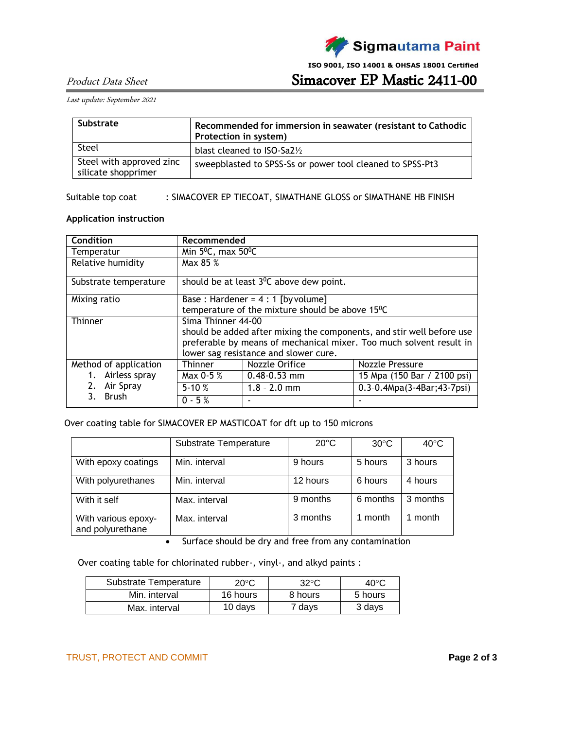

**ISO 9001, ISO 14001 & OHSAS 18001 Certified**

Product Data Sheet Simacover EP Mastic 2411-00

Last update: September 2021

| Substrate                                       | Recommended for immersion in seawater (resistant to Cathodic<br>Protection in system) |
|-------------------------------------------------|---------------------------------------------------------------------------------------|
| Steel                                           | blast cleaned to $ISO-Sa2\%$                                                          |
| Steel with approved zinc<br>silicate shopprimer | sweepblasted to SPSS-Ss or power tool cleaned to SPSS-Pt3                             |

Suitable top coat : SIMACOVER EP TIECOAT, SIMATHANE GLOSS or SIMATHANE HB FINISH

## **Application instruction**

| <b>Condition</b>      | Recommended                                                           |                                                   |                                     |
|-----------------------|-----------------------------------------------------------------------|---------------------------------------------------|-------------------------------------|
| Temperatur            | Min $5^0C$ , max $50^0C$                                              |                                                   |                                     |
| Relative humidity     | Max 85 %                                                              |                                                   |                                     |
| Substrate temperature |                                                                       | should be at least $3^{\circ}$ C above dew point. |                                     |
| Mixing ratio          | Base: Hardener = $4:1$ [by volume]                                    |                                                   |                                     |
|                       | temperature of the mixture should be above $15^{\circ}$ C             |                                                   |                                     |
| Thinner               | Sima Thinner 44-00                                                    |                                                   |                                     |
|                       | should be added after mixing the components, and stir well before use |                                                   |                                     |
|                       | preferable by means of mechanical mixer. Too much solvent result in   |                                                   |                                     |
|                       | lower sag resistance and slower cure.                                 |                                                   |                                     |
| Method of application | <b>Thinner</b>                                                        | Nozzle Orifice                                    | Nozzle Pressure                     |
| 1. Airless spray      | Max 0-5 %                                                             | $0.48 - 0.53$ mm                                  | 15 Mpa (150 Bar / 2100 psi)         |
| Air Spray             | $5-10%$                                                               | $1.8 - 2.0$ mm                                    | $0.3 - 0.4Mpa(3 - 4Bar; 43 - 7psi)$ |
| <b>Brush</b>          | $0 - 5%$                                                              |                                                   |                                     |

Over coating table for SIMACOVER EP MASTICOAT for dft up to 150 microns

|                                         | Substrate Temperature | $20^{\circ}$ C | $30^{\circ}$ C | $40^{\circ}$ C |
|-----------------------------------------|-----------------------|----------------|----------------|----------------|
| With epoxy coatings                     | Min. interval         | 9 hours        | 5 hours        | 3 hours        |
| With polyurethanes                      | Min. interval         | 12 hours       | 6 hours        | 4 hours        |
| With it self                            | Max. interval         | 9 months       | 6 months       | 3 months       |
| With various epoxy-<br>and polyurethane | Max. interval         | 3 months       | 1 month        | 1 month        |

• Surface should be dry and free from any contamination

Over coating table for chlorinated rubber-, vinyl-, and alkyd paints :

| Substrate Temperature | $20^{\circ}$ C | $32^{\circ}$ C | $40^{\circ}$ C |
|-----------------------|----------------|----------------|----------------|
| Min. interval         | 16 hours       | 8 hours        | 5 hours        |
| Max. interval         | 10 days        | 7 days         | 3 days         |